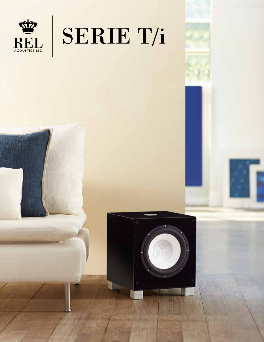

# SERIE T/i

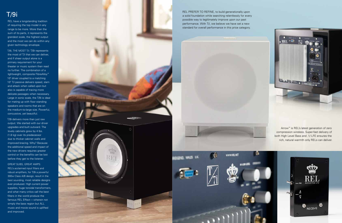## T/9i

REL have a longstanding tradition of requiring the top model in any range to be more. More than the sum of its parts, it represents the grandest scale, the highest output and the most we can do within any given technology envelope.

T/9 i, THE MOST T/ i: T/9i represents the most of T/i that we can deliver, and if sheer output alone is a primary requirement for your theater or music system then read no further. The combination of a lightweight, composite FibreAlloy ™ 10" driver coupled to a matching 10" T/i passive delivers speed, slam and attack when called upon but also is capable of tracing more delicate passages when necessary. Large in sonic scale, the T/9i is ideal for mating up with floor standing speakers and rooms that are on the medium-to-large size. Powerful, concussive, yet beautiful.

T/9i delivers more than just raw output. We started with our driver upgrades and built outward. The lovely cabinets grew by 4 lbs. (1.8 kg) over its predecessor due to thicker cabinet walls and improved bracing. Why? Because the additional speed and impact of the new drivers requires greater control or the benefits can be lost before they get to the listener.

GREAT SUBS, GREAT AMPS: REL's acclaimed input filters and robust amplifiers, for T/9i a powerful 300w Class A/B design, result in the best sounding, most reliable designs ever produced. High current power supplies, huge toroidal transformers, and what many critics call the best filters in the world produce the famous REL Effect —wherein not simply the bass region but ALL music and movie sound is uplifted and improved.



REL PREFER TO REFINE, to build generationally upon a solid foundation while searching relentlessly for every possible way to legitimately improve upon our past performance. With T/i, we believe we have set a new standard for overall performance in this price category.



**WWW.RELNET** 





G



Arrow ™ is REL's latest generation of zero compression wireless. Super-fast delivery of both High Level Bass and .1/ LFE ensures the rich, natural warmth only RELs can deliver.

о  $REL \cdot \nabla$ 

**WALES** 

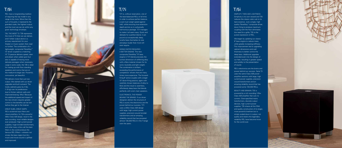## T/9i

REL have a longstanding tradition of requiring the top model in any range to be more. More than the sum of its parts, it represents the grandest scale, the highest output and the most we can do within any given technology envelope.

T/9 i, THE MOST T/ i: T/9i represents the most of T/i that we can deliver, and if sheer output alone is a primary requirement for your theater or music system then read no further. The combination of a lightweight, composite FibreAlloy ™ 10" driver coupled to a matching 10" T/i passive delivers speed, slam and attack when called upon but also is capable of tracing more delicate passages when necessary. Large in sonic scale, the T/9i is ideal for mating up with floor standing speakers and rooms that are on the medium-to-large size. Powerful, concussive, yet beautiful.

T/9i delivers more than just raw output. We started with our driver upgrades and built outward. The lovely cabinets grew by 4 lbs. (1.8 kg) over its predecessor due to thicker cabinet walls and improved bracing. Why? Because the additional speed and impact of the new drivers requires greater control or the benefits can be lost before they get to the listener.

GREAT SUBS, GREAT AMPS: REL's acclaimed input filters and robust amplifiers, for T/9i a powerful 300w Class A/B design, result in the best sounding, most reliable designs ever produced. High current power supplies, huge toroidal transformers, and what many critics call the best filters in the world produce the famous REL Effect —wherein not simply the bass region but ALL music and movie sound is uplifted and improved.



# T/7i

We began by updating our classic 8" bass engine to reduce mass, while greatly increasing stiffness. This improvement led to upgrading cabinet dimensions and wall thickness to better control the deep bass. Additional upgrades extended even into the design of our feet, resulting in greater speed and solidity to the presentation of sound.

T/7i is, without reservation, one of the best-balanced RELs of all time. In order to achieve perfect balance, a sub must weigh speed against heft, while ensuring true extensiondepth-and do so in a physically harmonious package. T/7i manages to make it all seem easy. Quick and delicate for a perfect blend, it can pound out exceptionally deep, tuneful bass that belies its size and plays louder than most will ever require.

GOING FASTER REQUIRES A BETTER ENGINE: The new composite FibreAlloy™ 8" bass engine in T/7i blends precisely the correct dimension of stiffening alloy with a fibre material chosen for its sonic neutrality and light weight. The combination is brilliant; exceeding the performance of competitors' drivers that are many times more expensive. The forwardfiring 8" active couples with a larger 10" down-firing passive, again with carefully chosen balances of alloy to fibre and the result is seamless, effortlessly deep bass that blends perfectly with one's main speakers.

ELECTRONICS, THE POWER BEHIND THE BRAND: If our driver designers deliver the structure of REL's sound, the electronics are the power behind our success. T/7i uses a 200w Class A/B design with large, high current power supplies, precision-wound toroidal transformers and an amazing reliability record that has powered almost 100,000 RELS in the T-range over the years.



SIMPLIFY, THEN ADD LIGHTNESS: Simplicity is its own reward and T/5i reduces the classic cubic sub to its bare essence. Just a single, high quality FibreAlloy ™ composite driver, down firing to produce maximum coupling with the floor eliminates the need for a grille; T/5i is the purest expression of REL.

REL's electronics are the brains and power behind our success. Serie T/i uses the same Class A/B power amplifier sections with large, high current power supplies, precisionwound transformers and an amazing reliability record that has powered some 100,000 RELs.

BEAUTY AND BRAWN: T/5i is powered by a rich sounding 125w Class A/B amplifier that cuts no corners. Over-specified mains transformers, discrete output devices, high current power supplies; T/5i shares all the DNA and quality construction of its larger, more powerful brethren but is simply scaled down in output, not quality and retains the legendary reliability REL have become know for the world over.





**SCIENTIST**